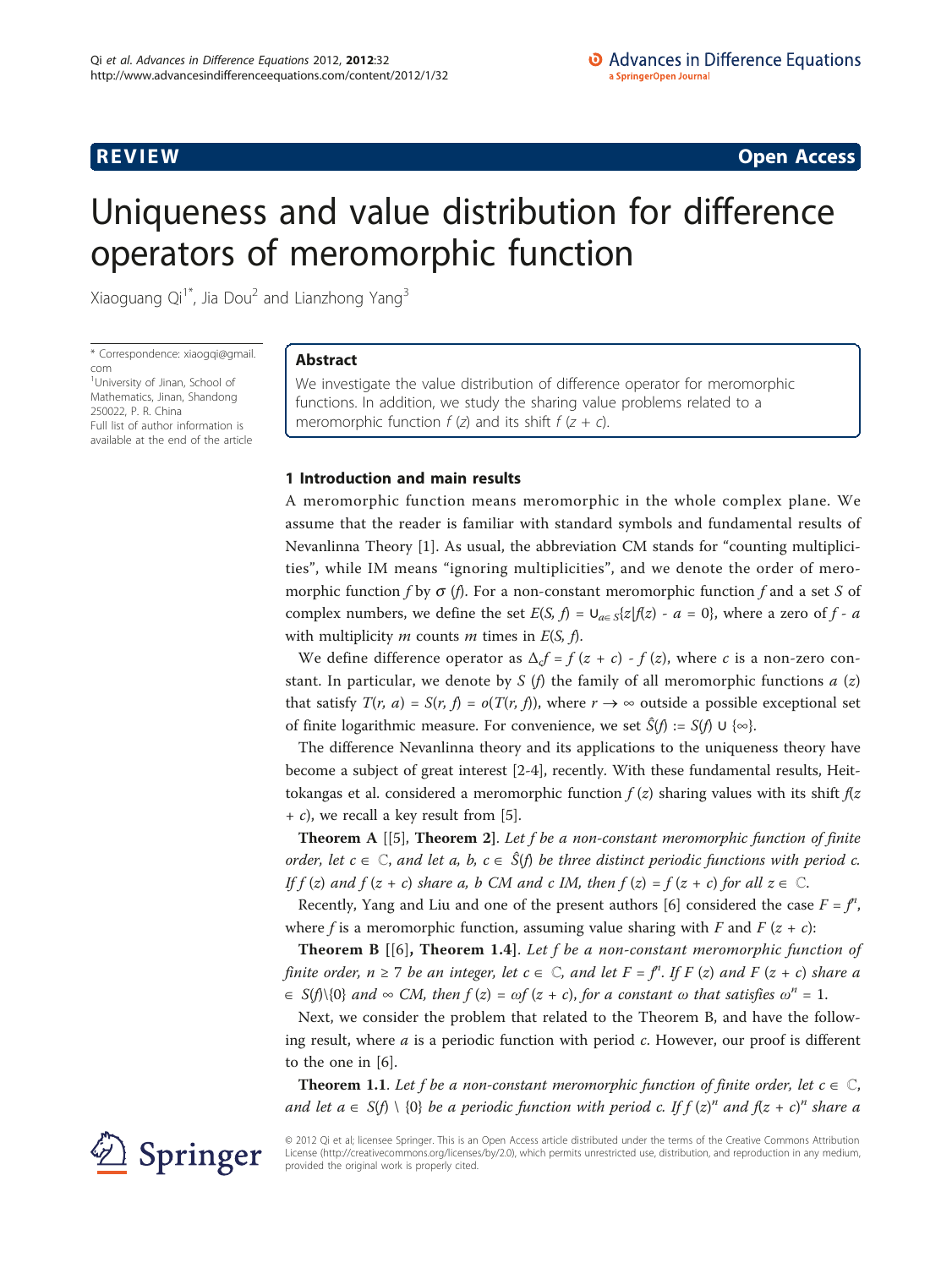# **REVIEW REVIEW CONSTRUCTER CONSTRUCTION**

# Uniqueness and value distribution for difference operators of meromorphic function

Xiaoguang Qi<sup>1\*</sup>, Jia Dou<sup>2</sup> and Lianzhong Yang<sup>3</sup>

\* Correspondence: [xiaogqi@gmail.](mailto:xiaogqi@gmail.com) [com](mailto:xiaogqi@gmail.com)

<sup>1</sup>University of Jinan, School of Mathematics, Jinan, Shandong 250022, P. R. China Full list of author information is available at the end of the article

# Abstract

We investigate the value distribution of difference operator for meromorphic functions. In addition, we study the sharing value problems related to a meromorphic function  $f(z)$  and its shift  $f(z + c)$ .

## 1 Introduction and main results

A meromorphic function means meromorphic in the whole complex plane. We assume that the reader is familiar with standard symbols and fundamental results of Nevanlinna Theory [[1\]](#page-8-0). As usual, the abbreviation CM stands for "counting multiplicities", while IM means "ignoring multiplicities", and we denote the order of meromorphic function f by  $\sigma$  (f). For a non-constant meromorphic function f and a set S of complex numbers, we define the set  $E(S, f) = \bigcup_{a \in S} \{z | f(z) - a = 0\}$ , where a zero of f - a with multiplicity  $m$  counts  $m$  times in  $E(S, f)$ .

We define difference operator as  $\Delta_{c}f = f(z + c) - f(z)$ , where c is a non-zero constant. In particular, we denote by S (f) the family of all meromorphic functions  $a(z)$ that satisfy  $T(r, a) = S(r, f) = o(T(r, f))$ , where  $r \to \infty$  outside a possible exceptional set of finite logarithmic measure. For convenience, we set  $\hat{S}(f) := S(f) \cup \{ \infty \}.$ 

The difference Nevanlinna theory and its applications to the uniqueness theory have become a subject of great interest [[2-4](#page-8-0)], recently. With these fundamental results, Heittokangas et al. considered a meromorphic function  $f(z)$  sharing values with its shift  $f(z)$  $+ c$ , we recall a key result from [\[5](#page-8-0)].

**Theorem A** [[[5\]](#page-8-0), **Theorem 2**]. Let f be a non-constant meromorphic function of finite order, let  $c \in \mathbb{C}$ , and let a, b,  $c \in \hat{S}(f)$  be three distinct periodic functions with period c. If  $f(z)$  and  $f(z + c)$  share a, b CM and c IM, then  $f(z) = f(z + c)$  for all  $z \in \mathbb{C}$ .

Recently, Yang and Liu and one of the present authors [\[6](#page-8-0)] considered the case  $F = f^n$ , where f is a meromorphic function, assuming value sharing with F and F  $(z + c)$ :

**Theorem B**  $[6]$  $[6]$ , **Theorem 1.4**. Let f be a non-constant meromorphic function of finite order,  $n \ge 7$  be an integer, let  $c \in \mathbb{C}$ , and let  $F = f^n$ . If  $F (z)$  and  $F (z + c)$  share a  $\in S(f)\{0\}$  and  $\infty$  CM, then  $f(z) = \omega f(z + c)$ , for a constant  $\omega$  that satisfies  $\omega^{n} = 1$ .

Next, we consider the problem that related to the Theorem B, and have the following result, where  $a$  is a periodic function with period  $c$ . However, our proof is different to the one in [[6](#page-8-0)].

**Theorem 1.1.** Let f be a non-constant meromorphic function of finite order, let  $c \in \mathbb{C}$ , and let  $a \in S(f) \setminus \{0\}$  be a periodic function with period c. If  $f (z)^n$  and  $f(z + c)^n$  share a

© 2012 Qi et al; licensee Springer. This is an Open Access article distributed under the terms of the Creative Commons Attribution License [\(http://creativecommons.org/licenses/by/2.0](http://creativecommons.org/licenses/by/2.0)), which permits unrestricted use, distribution, and reproduction in any medium, provided the original work is properly cited.

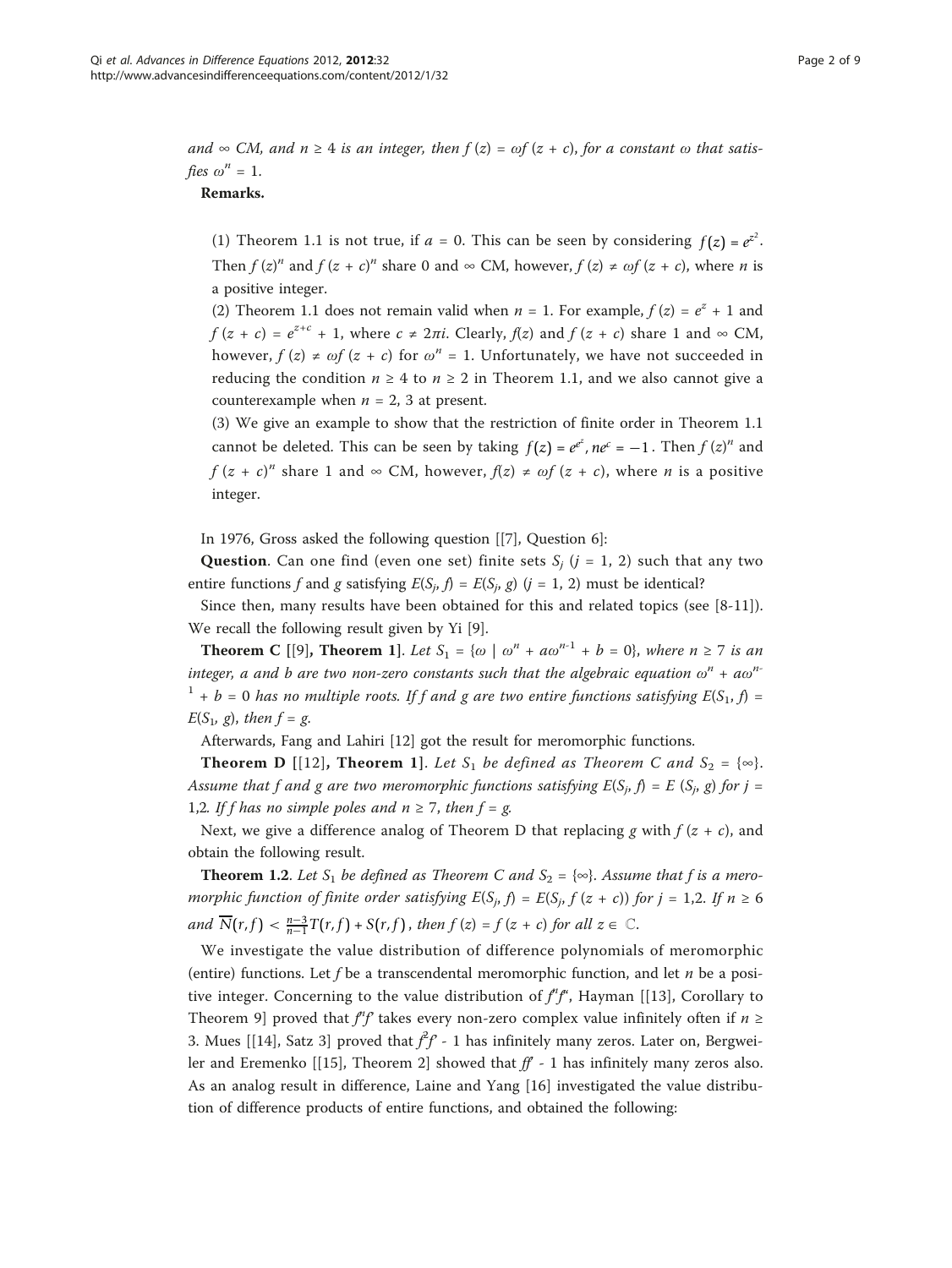and  $\infty$  CM, and  $n \geq 4$  is an integer, then  $f(z) = \omega f(z + c)$ , for a constant  $\omega$  that satisfies  $\omega^n = 1$ .

### Remarks.

(1) Theorem 1.1 is not true, if  $a = 0$ . This can be seen by considering  $f(z) = e^{z^2}$ . Then  $f(z)^n$  and  $f(z + c)^n$  share 0 and  $\infty$  CM, however,  $f(z) \neq \omega f(z + c)$ , where *n* is a positive integer.

(2) Theorem 1.1 does not remain valid when  $n = 1$ . For example,  $f(z) = e^{z} + 1$  and  $f(z + c) = e^{z+c} + 1$ , where  $c \neq 2\pi i$ . Clearly,  $f(z)$  and  $f(z + c)$  share 1 and  $\infty$  CM, however,  $f(z) \neq \omega f(z + c)$  for  $\omega^n = 1$ . Unfortunately, we have not succeeded in reducing the condition  $n \geq 4$  to  $n \geq 2$  in Theorem 1.1, and we also cannot give a counterexample when  $n = 2$ , 3 at present.

(3) We give an example to show that the restriction of finite order in Theorem 1.1 cannot be deleted. This can be seen by taking  $f(z) = e^{e^z}$ ,  $ne^c = -1$ . Then  $f(z)^n$  and  $f(z + c)^n$  share 1 and  $\infty$  CM, however,  $f(z) \neq \omega f(z + c)$ , where *n* is a positive integer.

In 1976, Gross asked the following question [[\[7](#page-8-0)], Question 6]:

**Question.** Can one find (even one set) finite sets  $S_i$  ( $j = 1, 2$ ) such that any two entire functions f and g satisfying  $E(S_j, f) = E(S_j, g)$  (j = 1, 2) must be identical?

Since then, many results have been obtained for this and related topics (see [\[8-11](#page-8-0)]). We recall the following result given by Yi [[9](#page-8-0)].

**Theorem C** [[[9\]](#page-8-0), **Theorem 1**]. Let  $S_1 = \{ \omega \mid \omega^n + a\omega^{n-1} + b = 0 \}$ , where  $n \ge 7$  is an integer, a and b are two non-zero constants such that the algebraic equation  $\omega^n$  + a $\omega^n$  $1 + b = 0$  has no multiple roots. If f and g are two entire functions satisfying  $E(S_1, f) =$  $E(S_1, g)$ , then  $f = g$ .

Afterwards, Fang and Lahiri [\[12\]](#page-8-0) got the result for meromorphic functions.

**Theorem D** [[[12\]](#page-8-0), **Theorem 1**]. Let S<sub>1</sub> be defined as Theorem C and S<sub>2</sub> = {∞}. Assume that f and g are two meromorphic functions satisfying  $E(S_i, f) = E(S_i, g)$  for  $j =$ 1,2. If f has no simple poles and  $n \ge 7$ , then  $f = g$ .

Next, we give a difference analog of Theorem D that replacing g with  $f(z + c)$ , and obtain the following result.

**Theorem 1.2.** Let  $S_1$  be defined as Theorem C and  $S_2 = \{ \infty \}$ . Assume that f is a meromorphic function of finite order satisfying  $E(S_j, f) = E(S_j, f(z + c))$  for  $j = 1,2$ . If  $n \ge 6$ and  $\overline{N}(r, f) < \frac{n-3}{n-1}T(r, f) + S(r, f)$ , then  $f(z) = f(z + c)$  for all  $z \in \mathbb{C}$ .

We investigate the value distribution of difference polynomials of meromorphic (entire) functions. Let f be a transcendental meromorphic function, and let  $n$  be a positive integer. Concerning to the value distribution of  $f^{\prime}f^{\prime}$ , Hayman [[[13](#page-8-0)], Corollary to Theorem 9] proved that  $f^{\prime\prime}f$  takes every non-zero complex value infinitely often if  $n \geq$ 3. Mues [[\[14](#page-8-0)], Satz 3] proved that  $\hat{f}f - 1$  has infinitely many zeros. Later on, Bergwei-ler and Eremenko [[[15\]](#page-8-0), Theorem 2] showed that  $ff - 1$  has infinitely many zeros also. As an analog result in difference, Laine and Yang [[16\]](#page-8-0) investigated the value distribution of difference products of entire functions, and obtained the following: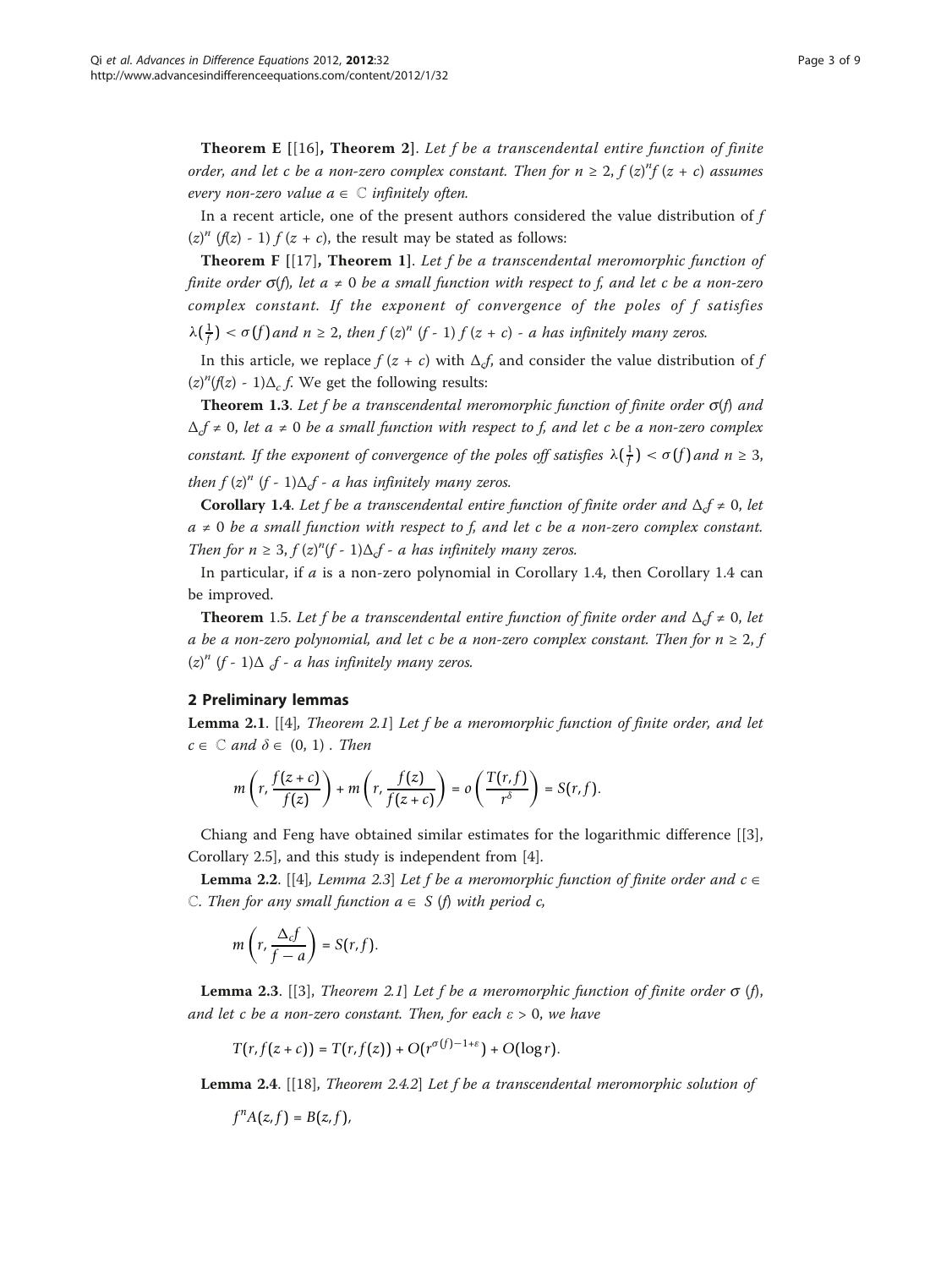**Theorem E**  $[16]$  $[16]$ , **Theorem 2**. Let f be a transcendental entire function of finite order, and let c be a non-zero complex constant. Then for  $n \geq 2$ ,  $f(z)^n f(z + c)$  assumes every non-zero value  $a \in \mathbb{C}$  infinitely often.

In a recent article, one of the present authors considered the value distribution of f  $(z)^{n}$  ( $f(z)$  - 1)  $f(z + c)$ , the result may be stated as follows:

**Theorem F**  $[17]$ , **Theorem 1**]. Let f be a transcendental meromorphic function of finite order  $\sigma(f)$ , let  $a \neq 0$  be a small function with respect to f, and let c be a non-zero complex constant. If the exponent of convergence of the poles of f satisfies

 $\lambda(\frac{1}{f}) < \sigma(f)$  and  $n \geq 2$ , then  $f(z)^n$  (f - 1)  $f(z + c)$  - a has infinitely many zeros.

In this article, we replace  $f(z + c)$  with  $\Delta_c f$ , and consider the value distribution of f  $(z)^{n}(f(z) - 1)\Delta_{c} f$ . We get the following results:

**Theorem 1.3.** Let f be a transcendental meromorphic function of finite order  $\sigma(f)$  and  $\Delta_t f \neq 0$ , let  $a \neq 0$  be a small function with respect to f, and let c be a non-zero complex constant. If the exponent of convergence of the poles off satisfies  $\lambda(\frac{1}{f}) < \sigma(f)$  and  $n \geq 3$ , then  $f(z)^n$  (f - 1) $\Delta_c f$  - a has infinitely many zeros.

**Corollary 1.4.** Let f be a transcendental entire function of finite order and  $\Delta_t f \neq 0$ , let  $a \neq 0$  be a small function with respect to f, and let c be a non-zero complex constant. Then for  $n \geq 3$ ,  $f(z)^n(f - 1)\Delta_f - a$  has infinitely many zeros.

In particular, if  $a$  is a non-zero polynomial in Corollary 1.4, then Corollary 1.4 can be improved.

**Theorem** 1.5. Let f be a transcendental entire function of finite order and  $\Delta_c f \neq 0$ , let a be a non-zero polynomial, and let c be a non-zero complex constant. Then for  $n \geq 2$ , f  $(z)^n$  (f - 1) $\Delta$   $f$  - a has infinitely many zeros.

### 2 Preliminary lemmas

**Lemma 2.1.** [[\[4](#page-8-0)], Theorem 2.1] Let f be a meromorphic function of finite order, and let  $c \in \mathbb{C}$  and  $\delta \in (0, 1)$ . Then

$$
m\left(r,\frac{f(z+c)}{f(z)}\right)+m\left(r,\frac{f(z)}{f(z+c)}\right)=o\left(\frac{T(r,f)}{r^{\delta}}\right)=S(r,f).
$$

Chiang and Feng have obtained similar estimates for the logarithmic difference [[\[3](#page-8-0)], Corollary 2.5], and this study is independent from [[4\]](#page-8-0).

**Lemma 2.2.** [[\[4](#page-8-0)], *Lemma 2.3*] Let f be a meromorphic function of finite order and  $c \in$ C. Then for any small function  $a \in S$  (f) with period c,

$$
m\left(r,\frac{\Delta_{c}f}{f-a}\right)=S(r,f).
$$

**Lemma 2.3.** [[[3\]](#page-8-0), Theorem 2.1] Let f be a meromorphic function of finite order  $\sigma$  (f), and let c be a non-zero constant. Then, for each  $\varepsilon > 0$ , we have

$$
T(r, f(z+c)) = T(r, f(z)) + O(r^{\sigma(f)-1+\varepsilon}) + O(\log r).
$$

**Lemma 2.4.** [[\[18](#page-8-0)], Theorem 2.4.2] Let f be a transcendental meromorphic solution of

$$
f^n A(z, f) = B(z, f),
$$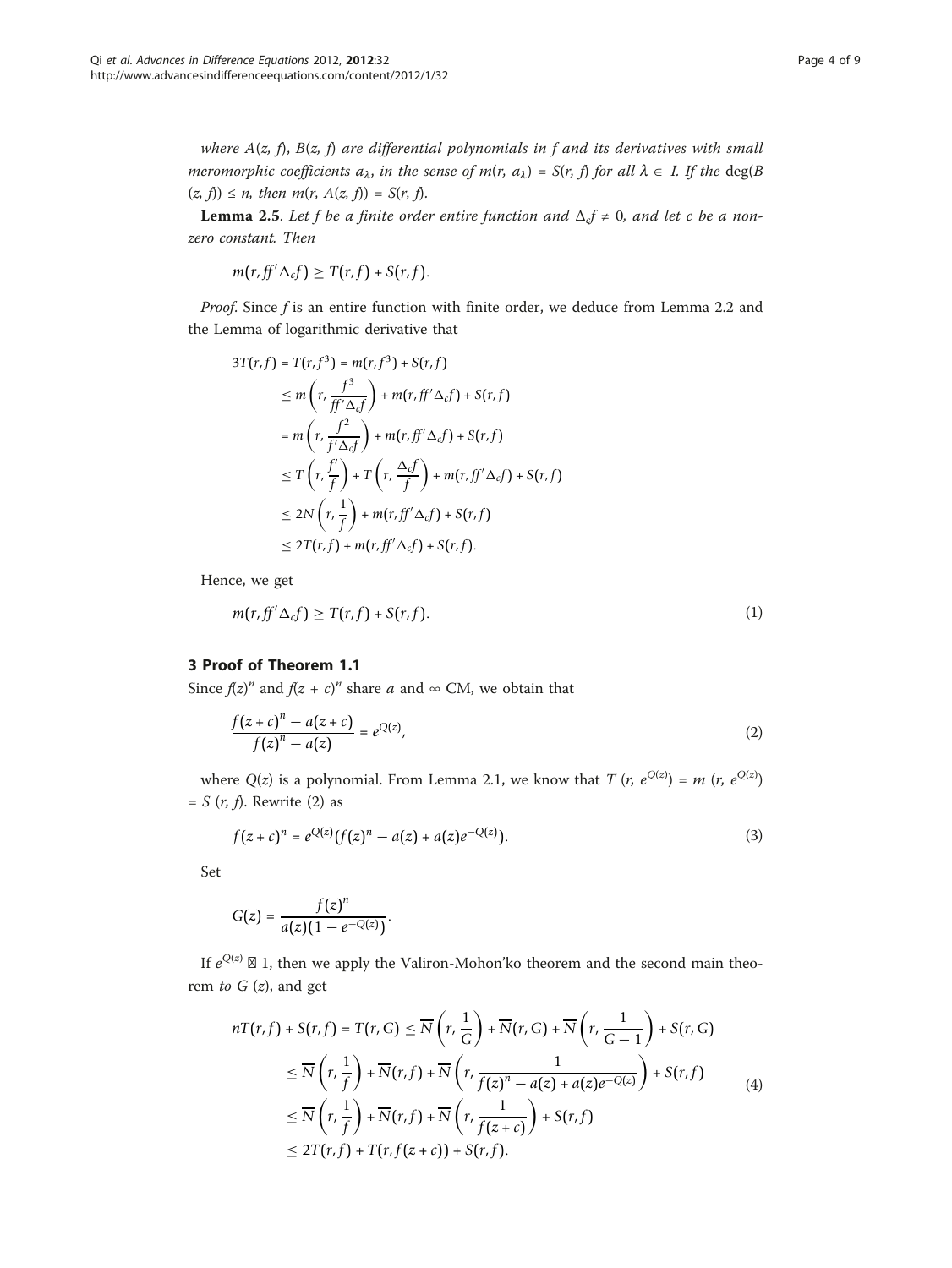where  $A(z, f)$ ,  $B(z, f)$  are differential polynomials in f and its derivatives with small meromorphic coefficients  $a_{\lambda}$ , in the sense of  $m(r, a_{\lambda}) = S(r, f)$  for all  $\lambda \in I$ . If the deg(B  $(z, f) \le n$ , then  $m(r, A(z, f)) = S(r, f)$ .

**Lemma 2.5.** Let f be a finite order entire function and  $\Delta_c f \neq 0$ , and let c be a nonzero constant. Then

$$
m(r, ff'\Delta_c f) \geq T(r, f) + S(r, f).
$$

Proof. Since f is an entire function with finite order, we deduce from Lemma 2.2 and the Lemma of logarithmic derivative that

$$
3T(r, f) = T(r, f^{3}) = m(r, f^{3}) + S(r, f)
$$
  
\n
$$
\leq m\left(r, \frac{f^{3}}{f'\Delta_{c}f}\right) + m(r, f f'\Delta_{c}f) + S(r, f)
$$
  
\n
$$
= m\left(r, \frac{f^{2}}{f'\Delta_{c}f}\right) + m(r, f f'\Delta_{c}f) + S(r, f)
$$
  
\n
$$
\leq T\left(r, \frac{f'}{f}\right) + T\left(r, \frac{\Delta_{c}f}{f}\right) + m(r, f f'\Delta_{c}f) + S(r, f)
$$
  
\n
$$
\leq 2N\left(r, \frac{1}{f}\right) + m(r, f f'\Delta_{c}f) + S(r, f)
$$
  
\n
$$
\leq 2T(r, f) + m(r, f f'\Delta_{c}f) + S(r, f).
$$

Hence, we get

$$
m(r, ff'\Delta_c f) \geq T(r, f) + S(r, f). \tag{1}
$$

# 3 Proof of Theorem 1.1

Since  $f(z)^n$  and  $f(z + c)^n$  share a and  $\infty$  CM, we obtain that

$$
\frac{f(z+c)^n - a(z+c)}{f(z)^n - a(z)} = e^{Q(z)},
$$
\n(2)

where  $Q(z)$  is a polynomial. From Lemma 2.1, we know that T  $(r, e^{Q(z)}) = m (r, e^{Q(z)})$  $= S(r, f)$ . Rewrite (2) as

$$
f(z+c)^n = e^{Q(z)}(f(z)^n - a(z) + a(z)e^{-Q(z)}).
$$
 (3)

Set

$$
G(z)=\frac{f(z)^n}{a(z)(1-e^{-Q(z)})}.
$$

If  $e^{Q(z)} \boxtimes 1$ , then we apply the Valiron-Mohon'ko theorem and the second main theorem to  $G(z)$ , and get

$$
nT(r, f) + S(r, f) = T(r, G) \le \overline{N}\left(r, \frac{1}{G}\right) + \overline{N}(r, G) + \overline{N}\left(r, \frac{1}{G - 1}\right) + S(r, G)
$$
  
\n
$$
\le \overline{N}\left(r, \frac{1}{f}\right) + \overline{N}(r, f) + \overline{N}\left(r, \frac{1}{f(z)^{n} - a(z) + a(z)e^{-Q(z)}}\right) + S(r, f)
$$
  
\n
$$
\le \overline{N}\left(r, \frac{1}{f}\right) + \overline{N}(r, f) + \overline{N}\left(r, \frac{1}{f(z + c)}\right) + S(r, f)
$$
  
\n
$$
\le 2T(r, f) + T(r, f(z + c)) + S(r, f).
$$
 (4)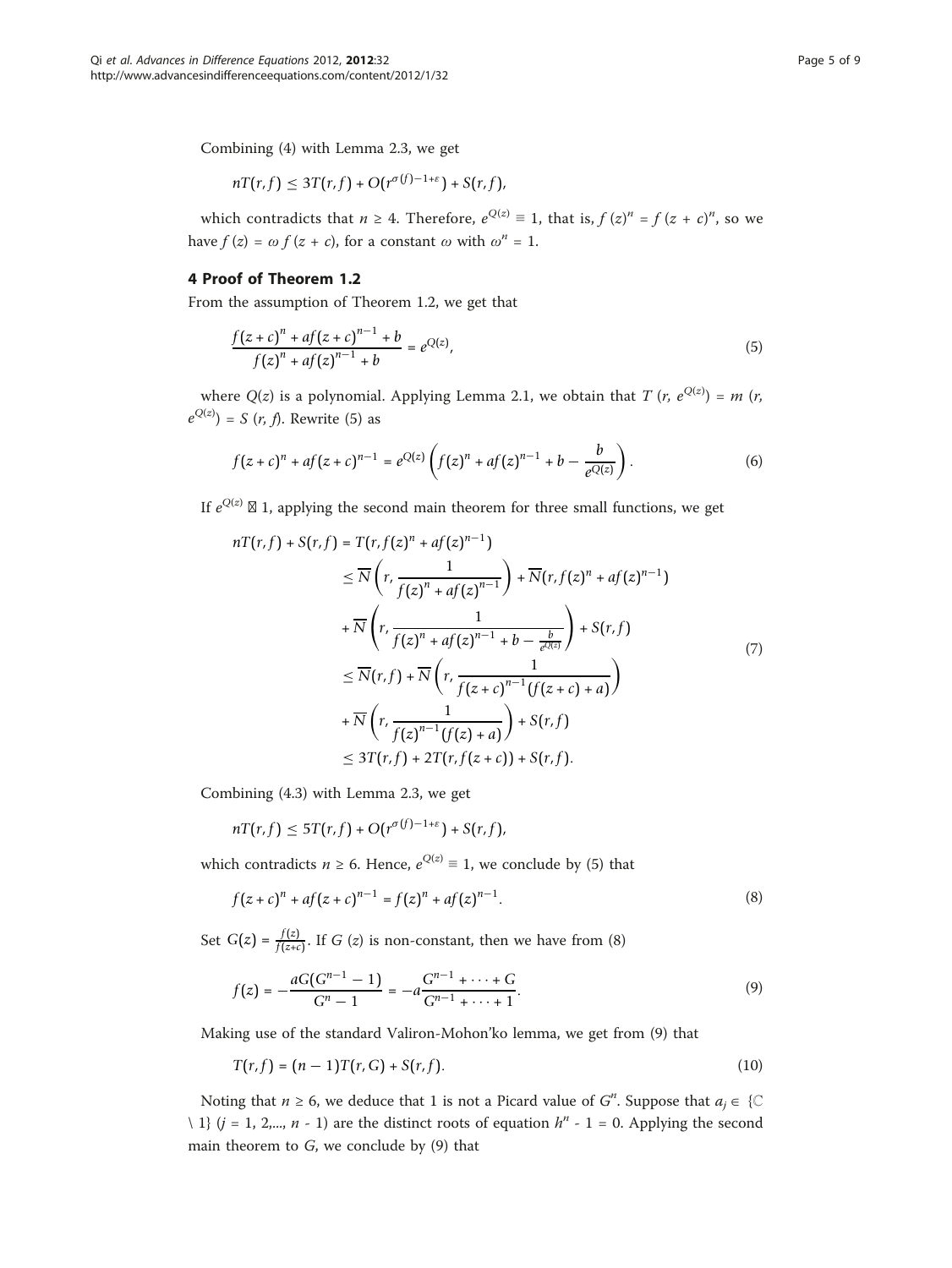Combining (4) with Lemma 2.3, we get

$$
nT(r,f) \leq 3T(r,f) + O(r^{\sigma(f)-1+\varepsilon}) + S(r,f),
$$

which contradicts that  $n \geq 4$ . Therefore,  $e^{Q(z)} \equiv 1$ , that is,  $f(z)^n = f(z + c)^n$ , so we have  $f(z) = \omega f(z + c)$ , for a constant  $\omega$  with  $\omega^n = 1$ .

# 4 Proof of Theorem 1.2

From the assumption of Theorem 1.2, we get that

$$
\frac{f(z+c)^n + af(z+c)^{n-1} + b}{f(z)^n + af(z)^{n-1} + b} = e^{Q(z)},
$$
\n(5)

where  $Q(z)$  is a polynomial. Applying Lemma 2.1, we obtain that T  $(r, e^{Q(z)}) = m$   $(r,$  $e^{Q(z)}$ ) = *S* (*r*, *f*). Rewrite (5) as

$$
f(z+c)^{n} + af(z+c)^{n-1} = e^{Q(z)} \left( f(z)^{n} + af(z)^{n-1} + b - \frac{b}{e^{Q(z)}} \right).
$$
 (6)

If  $e^{Q(z)} \boxtimes 1$ , applying the second main theorem for three small functions, we get

$$
nT(r, f) + S(r, f) = T(r, f(z)^n + af(z)^{n-1})
$$
  
\n
$$
\leq \overline{N} \left( r, \frac{1}{f(z)^n + af(z)^{n-1}} \right) + \overline{N}(r, f(z)^n + af(z)^{n-1})
$$
  
\n
$$
+ \overline{N} \left( r, \frac{1}{f(z)^n + af(z)^{n-1} + b - \frac{b}{e^{Q(z)}}} \right) + S(r, f)
$$
  
\n
$$
\leq \overline{N}(r, f) + \overline{N} \left( r, \frac{1}{f(z+c)^{n-1}(f(z+c) + a)} \right)
$$
  
\n
$$
+ \overline{N} \left( r, \frac{1}{f(z)^{n-1}(f(z) + a)} \right) + S(r, f)
$$
  
\n
$$
\leq 3T(r, f) + 2T(r, f(z+c)) + S(r, f).
$$

Combining (4.3) with Lemma 2.3, we get

$$
nT(r,f) \leq 5T(r,f) + O(r^{\sigma(f)-1+\varepsilon}) + S(r,f),
$$

which contradicts  $n \ge 6$ . Hence,  $e^{Q(z)} \equiv 1$ , we conclude by (5) that

$$
f(z+c)^{n} + af(z+c)^{n-1} = f(z)^{n} + af(z)^{n-1}.
$$
\n(8)

Set  $G(z) = \frac{f(z)}{f(z+c)}$ . If  $G(z)$  is non-constant, then we have from (8)

$$
f(z) = -\frac{aG(G^{n-1} - 1)}{G^n - 1} = -a\frac{G^{n-1} + \dots + G}{G^{n-1} + \dots + 1}.
$$
\n(9)

Making use of the standard Valiron-Mohon'ko lemma, we get from (9) that

$$
T(r, f) = (n - 1)T(r, G) + S(r, f).
$$
 (10)

Noting that  $n \ge 6$ , we deduce that 1 is not a Picard value of  $G^n$ . Suppose that  $a_j \in \{0\}$ \ 1}  $(j = 1, 2,..., n - 1)$  are the distinct roots of equation  $h^n - 1 = 0$ . Applying the second main theorem to  $G$ , we conclude by  $(9)$  that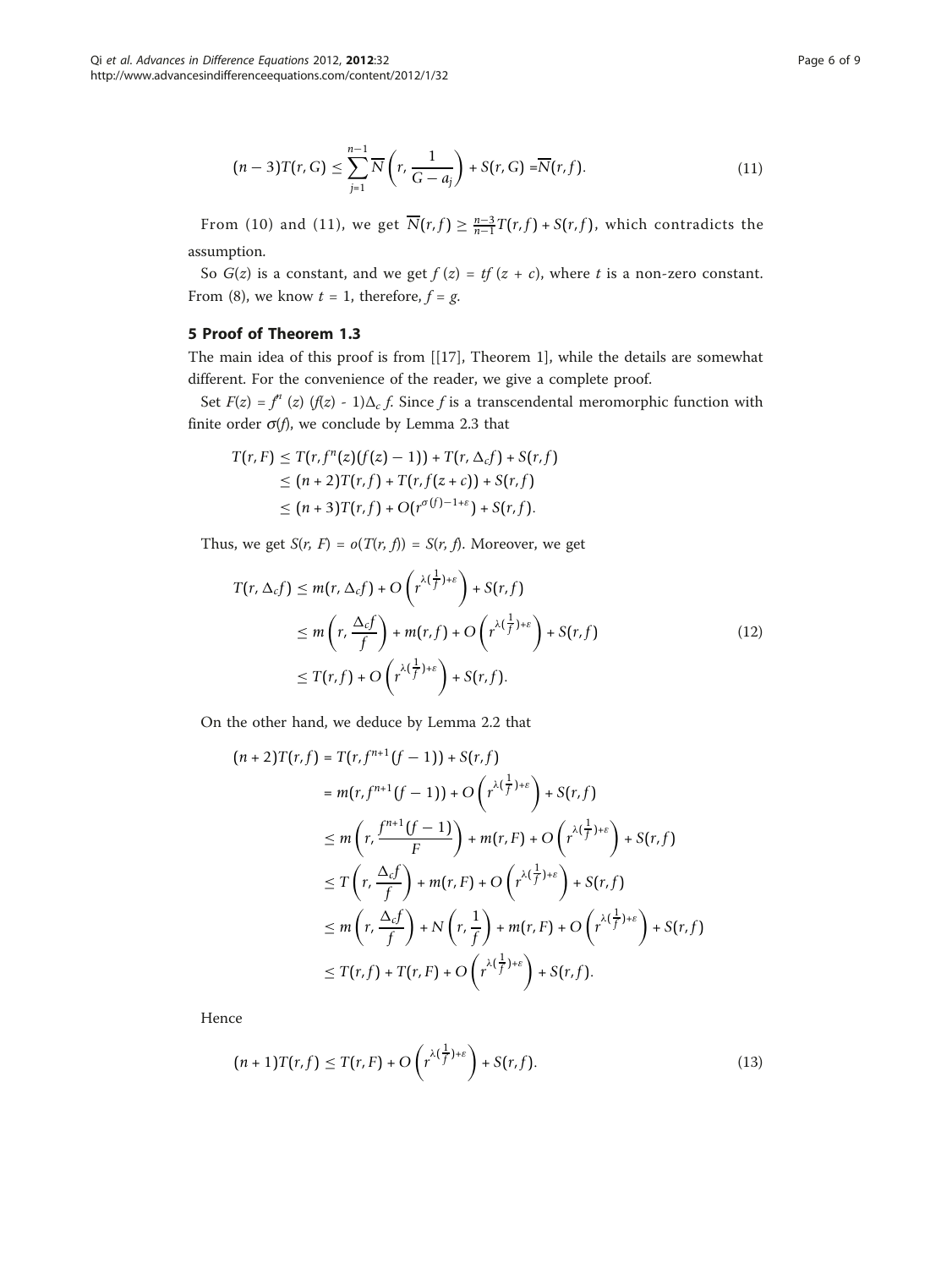$$
(n-3)T(r,G) \leq \sum_{j=1}^{n-1} \overline{N}\left(r, \frac{1}{G-a_j}\right) + S(r,G) = \overline{N}(r,f). \tag{11}
$$

From (10) and (11), we get  $\overline{N}(r, f) \geq \frac{n-3}{n-1}T(r, f) + S(r, f)$ , which contradicts the assumption.

So  $G(z)$  is a constant, and we get  $f(z) = tf(z + c)$ , where t is a non-zero constant. From (8), we know  $t = 1$ , therefore,  $f = g$ .

# 5 Proof of Theorem 1.3

The main idea of this proof is from [[[17\]](#page-8-0), Theorem 1], while the details are somewhat different. For the convenience of the reader, we give a complete proof.

Set  $F(z) = f^{n}(z)$  (f(z) - 1) $\Delta_{c} f$ . Since f is a transcendental meromorphic function with finite order  $\sigma(f)$ , we conclude by Lemma 2.3 that

$$
T(r, F) \leq T(r, f^{n}(z)(f(z) - 1)) + T(r, \Delta_{c}f) + S(r, f)
$$
  
\n
$$
\leq (n + 2)T(r, f) + T(r, f(z + c)) + S(r, f)
$$
  
\n
$$
\leq (n + 3)T(r, f) + O(r^{\sigma(f) - 1 + \varepsilon}) + S(r, f).
$$

Thus, we get  $S(r, F) = o(T(r, f)) = S(r, f)$ . Moreover, we get

$$
T(r, \Delta_c f) \le m(r, \Delta_c f) + O\left(r^{\lambda(\frac{1}{f})+\varepsilon}\right) + S(r, f)
$$
  
\n
$$
\le m\left(r, \frac{\Delta_c f}{f}\right) + m(r, f) + O\left(r^{\lambda(\frac{1}{f})+\varepsilon}\right) + S(r, f)
$$
  
\n
$$
\le T(r, f) + O\left(r^{\lambda(\frac{1}{f})+\varepsilon}\right) + S(r, f).
$$
\n(12)

On the other hand, we deduce by Lemma 2.2 that

$$
(n+2)T(r,f) = T(r, f^{n+1}(f-1)) + S(r,f)
$$
  
\n
$$
= m(r, f^{n+1}(f-1)) + O(r^{\lambda(\frac{1}{f})+\varepsilon}) + S(r,f)
$$
  
\n
$$
\leq m\left(r, \frac{f^{n+1}(f-1)}{F}\right) + m(r, F) + O(r^{\lambda(\frac{1}{f})+\varepsilon}) + S(r, f)
$$
  
\n
$$
\leq T\left(r, \frac{\Delta_{c}f}{f}\right) + m(r, F) + O(r^{\lambda(\frac{1}{f})+\varepsilon}) + S(r, f)
$$
  
\n
$$
\leq m\left(r, \frac{\Delta_{c}f}{f}\right) + N\left(r, \frac{1}{f}\right) + m(r, F) + O(r^{\lambda(\frac{1}{f})+\varepsilon}) + S(r, f)
$$
  
\n
$$
\leq T(r, f) + T(r, F) + O(r^{\lambda(\frac{1}{f})+\varepsilon}) + S(r, f).
$$

Hence

$$
(n+1)T(r,f) \leq T(r,F) + O\left(r^{\lambda(\frac{1}{f})+\varepsilon}\right) + S(r,f).
$$
\n(13)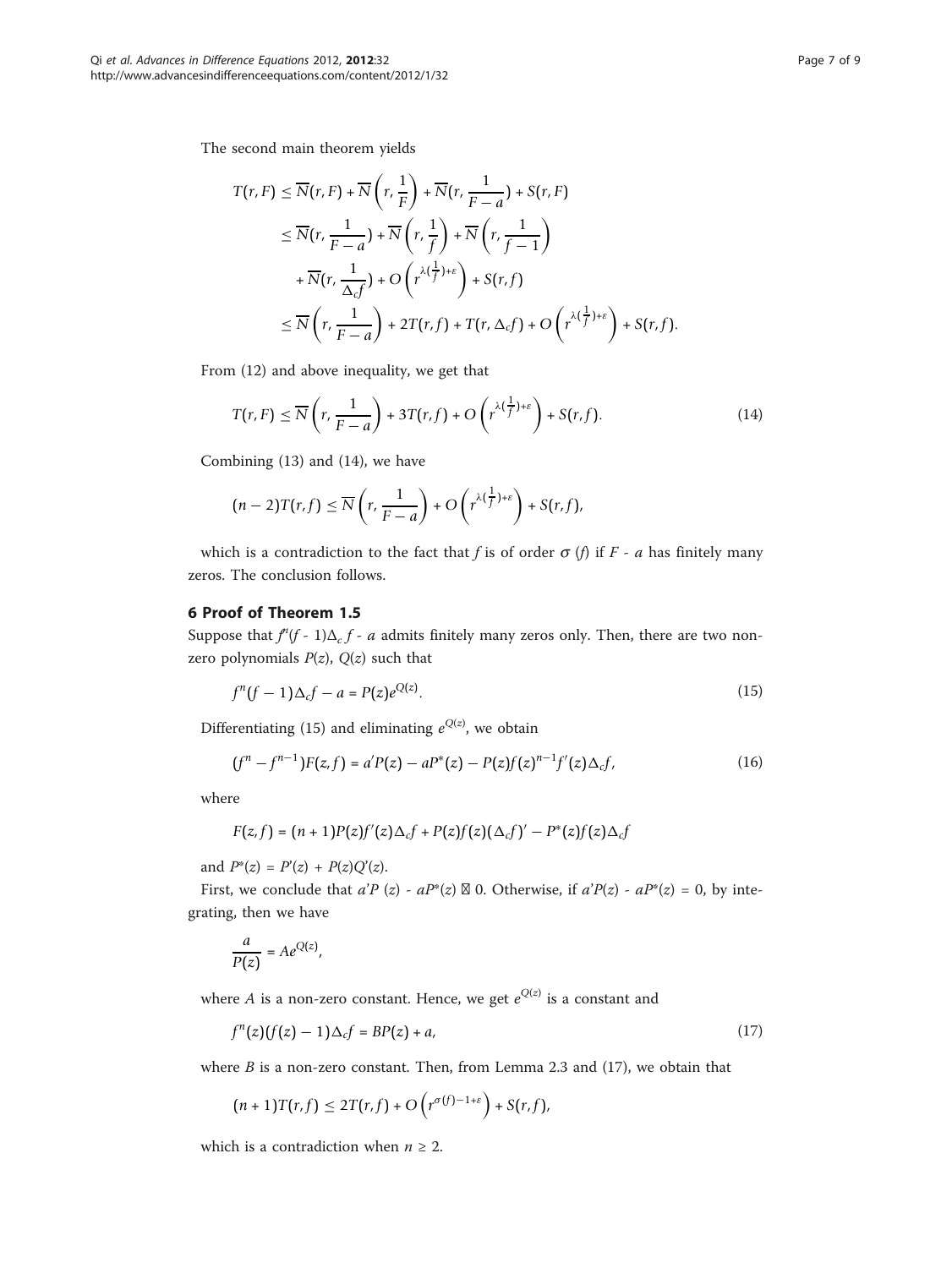The second main theorem yields

$$
T(r, F) \leq \overline{N}(r, F) + \overline{N}\left(r, \frac{1}{F}\right) + \overline{N}(r, \frac{1}{F-a}) + S(r, F)
$$
  
\n
$$
\leq \overline{N}(r, \frac{1}{F-a}) + \overline{N}\left(r, \frac{1}{f}\right) + \overline{N}\left(r, \frac{1}{f-1}\right)
$$
  
\n
$$
+ \overline{N}(r, \frac{1}{\Delta_{c}f}) + O\left(r^{\lambda(\frac{1}{f})+\varepsilon}\right) + S(r, f)
$$
  
\n
$$
\leq \overline{N}\left(r, \frac{1}{F-a}\right) + 2T(r, f) + T(r, \Delta_{c}f) + O\left(r^{\lambda(\frac{1}{f})+\varepsilon}\right) + S(r, f).
$$

From (12) and above inequality, we get that

$$
T(r, F) \le \overline{N}\left(r, \frac{1}{F-a}\right) + 3T(r, f) + O\left(r^{\lambda(\frac{1}{f})+\varepsilon}\right) + S(r, f). \tag{14}
$$

Combining (13) and (14), we have

$$
(n-2)T(r,f) \leq \overline{N}\left(r,\frac{1}{F-a}\right) + O\left(r^{\lambda(\frac{1}{f})+\varepsilon}\right) + S(r,f),
$$

which is a contradiction to the fact that f is of order  $\sigma$  (f) if F - a has finitely many zeros. The conclusion follows.

# 6 Proof of Theorem 1.5

Suppose that  $f'(f - 1)\Delta_c f - a$  admits finitely many zeros only. Then, there are two nonzero polynomials  $P(z)$ ,  $Q(z)$  such that

$$
f^{n}(f-1)\Delta_{c}f-a=P(z)e^{Q(z)}.
$$
\n(15)

Differentiating (15) and eliminating  $e^{Q(z)}$ , we obtain

$$
(f^{n} - f^{n-1})F(z, f) = a'P(z) - aP^{*}(z) - P(z)f(z)^{n-1}f'(z)\Delta_{c}f,
$$
\n(16)

where

$$
F(z,f)=(n+1)P(z)f'(z)\Delta_{c}f+P(z)f(z)(\Delta_{c}f')'-P^{*}(z)f(z)\Delta_{c}f
$$

and  $P^*(z) = P'(z) + P(z)Q'(z)$ .

First, we conclude that  $a'P(z) - aP^*(z) \boxtimes 0$ . Otherwise, if  $a'P(z) - aP^*(z) = 0$ , by integrating, then we have

$$
\frac{a}{P(z)} = Ae^{Q(z)},
$$

where A is a non-zero constant. Hence, we get  $e^{Q(z)}$  is a constant and

$$
f^{n}(z)(f(z)-1)\Delta_{c}f = BP(z)+a,
$$
\n(17)

where  $B$  is a non-zero constant. Then, from Lemma 2.3 and (17), we obtain that

$$
(n+1)T(r,f) \leq 2T(r,f) + O\left(r^{\sigma(f)-1+\varepsilon}\right) + S(r,f),
$$

which is a contradiction when  $n \geq 2$ .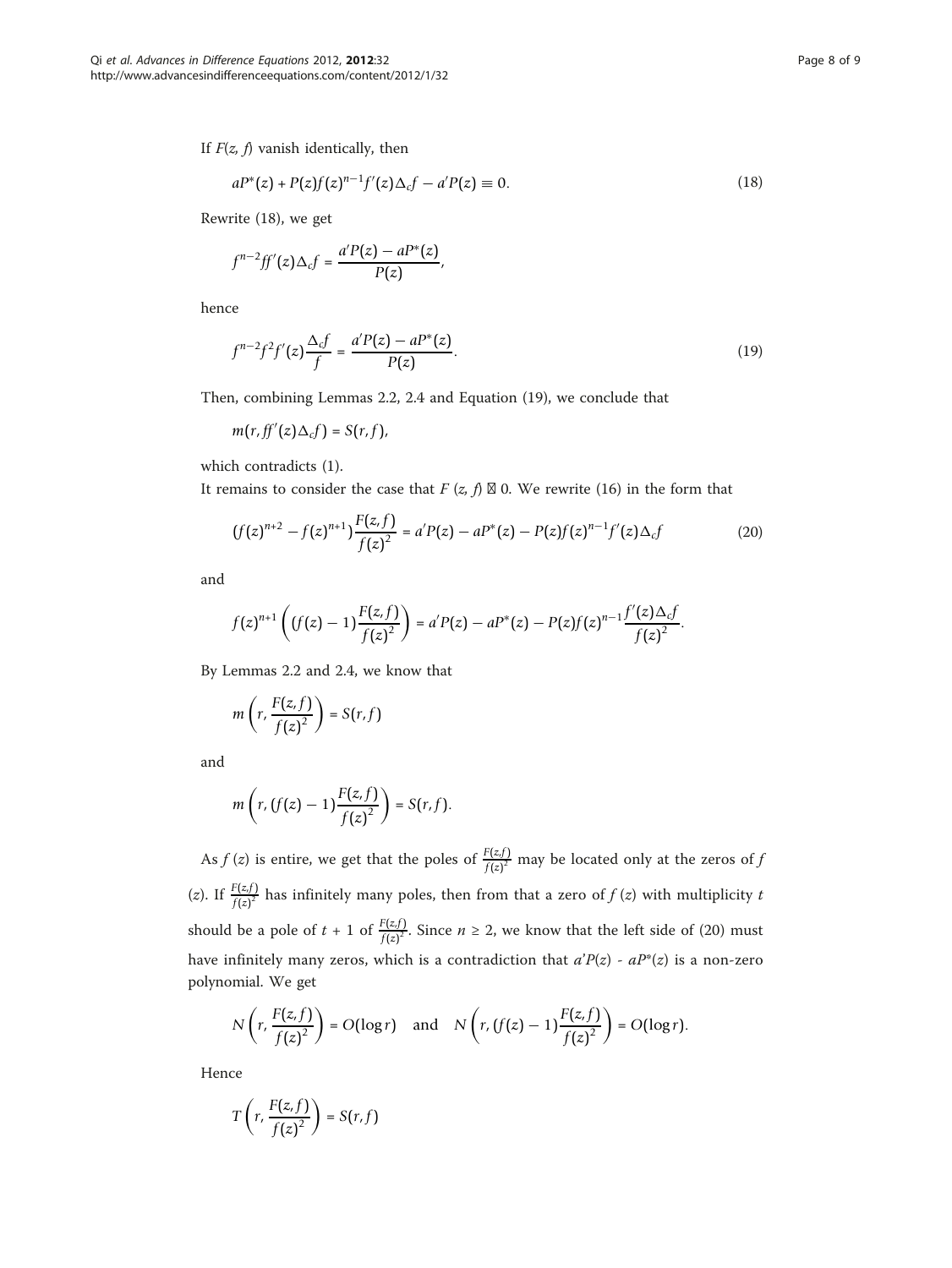$$
aP^*(z) + P(z)f(z)^{n-1}f'(z)\Delta_c f - a'P(z) \equiv 0.
$$
\n(18)

Rewrite (18), we get

$$
f^{n-2}ff'(z)\Delta_c f=\frac{a'P(z)-aP^*(z)}{P(z)},
$$

hence

$$
f^{n-2}f^{2}f'(z)\frac{\Delta_{c}f}{f} = \frac{a'P(z) - aP^{*}(z)}{P(z)}.
$$
\n(19)

Then, combining Lemmas 2.2, 2.4 and Equation (19), we conclude that

$$
m(r, ff'(z)\Delta_c f)=S(r, f),
$$

which contradicts (1).

It remains to consider the case that  $F(z, f) \boxtimes 0$ . We rewrite (16) in the form that

$$
(f(z)^{n+2} - f(z)^{n+1}) \frac{F(z, f)}{f(z)^2} = a'P(z) - aP^*(z) - P(z)f(z)^{n-1}f'(z)\Delta_c f \tag{20}
$$

and

$$
f(z)^{n+1}\left((f(z)-1)\frac{F(z,f)}{f(z)^2}\right)=a'P(z)-aP^*(z)-P(z)f(z)^{n-1}\frac{f'(z)\Delta_{c}f}{f(z)^2}.
$$

By Lemmas 2.2 and 2.4, we know that

$$
m\left(r,\frac{F(z,f)}{f(z)^2}\right)=S(r,f)
$$

and

$$
m\left(r,\left(f(z)-1\right)\frac{F(z,f)}{f(z)^2}\right)=S(r,f).
$$

As  $f(z)$  is entire, we get that the poles of  $\frac{F(z,f)}{f(z)^2}$  may be located only at the zeros of j (*z*). If  $\frac{F(z,f)}{f(z)^2}$  has infinitely many poles, then from that a zero of  $f(z)$  with multiplicity t should be a pole of  $t + 1$  of  $\frac{F(z,f)}{f(z)^2}$ . Since  $n \ge 2$ , we know that the left side of (20) must have infinitely many zeros, which is a contradiction that  $a'P(z) - aP^*(z)$  is a non-zero polynomial. We get

$$
N\left(r,\frac{F(z,f)}{f(z)^2}\right)=O(\log r) \quad \text{and} \quad N\left(r,\left(f(z)-1\right)\frac{F(z,f)}{f(z)^2}\right)=O(\log r).
$$

Hence

$$
T\left(r,\frac{F(z,f)}{f(z)^2}\right)=S(r,f)
$$